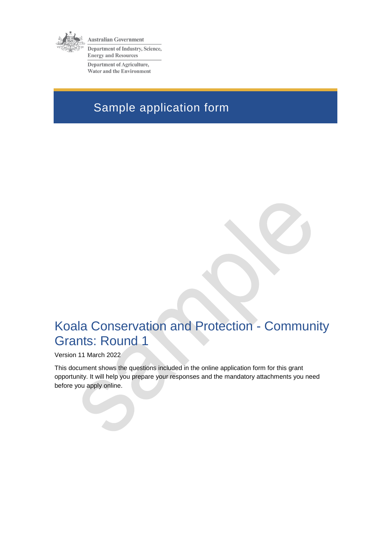

Australian Government Department of Industry, Science, **Energy and Resources** 

**Department of Agriculture,** Water and the Environment

# Sample application form

# Koala Conservation and Protection - Community Grants: Round 1

Version 11 March 2022

This document shows the questions included in the online application form for this grant opportunity. It will help you prepare your responses and the mandatory attachments you need before you apply online.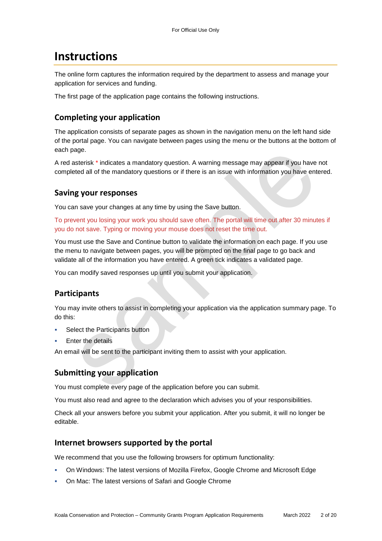## **Instructions**

The online form captures the information required by the department to assess and manage your application for services and funding.

The first page of the application page contains the following instructions.

### **Completing your application**

The application consists of separate pages as shown in the navigation menu on the left hand side of the portal page. You can navigate between pages using the menu or the buttons at the bottom of each page.

A red asterisk \* indicates a mandatory question. A warning message may appear if you have not completed all of the mandatory questions or if there is an issue with information you have entered.

### **Saving your responses**

You can save your changes at any time by using the Save button.

To prevent you losing your work you should save often. The portal will time out after 30 minutes if you do not save. Typing or moving your mouse does not reset the time out.

You must use the Save and Continue button to validate the information on each page. If you use the menu to navigate between pages, you will be prompted on the final page to go back and validate all of the information you have entered. A green tick indicates a validated page.

You can modify saved responses up until you submit your application.

### **Participants**

You may invite others to assist in completing your application via the application summary page. To do this:

- Select the Participants button
- Enter the details

An email will be sent to the participant inviting them to assist with your application.

### **Submitting your application**

You must complete every page of the application before you can submit.

You must also read and agree to the declaration which advises you of your responsibilities.

Check all your answers before you submit your application. After you submit, it will no longer be editable.

### **Internet browsers supported by the portal**

We recommend that you use the following browsers for optimum functionality:

- On Windows: The latest versions of Mozilla Firefox, Google Chrome and Microsoft Edge
- On Mac: The latest versions of Safari and Google Chrome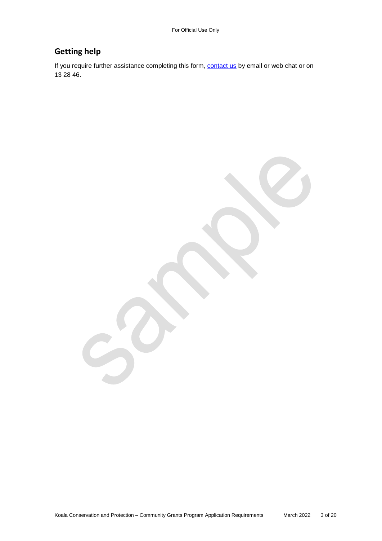### **Getting help**

If you require further assistance completing this form, **contact us** by email or web chat or on 13 28 46.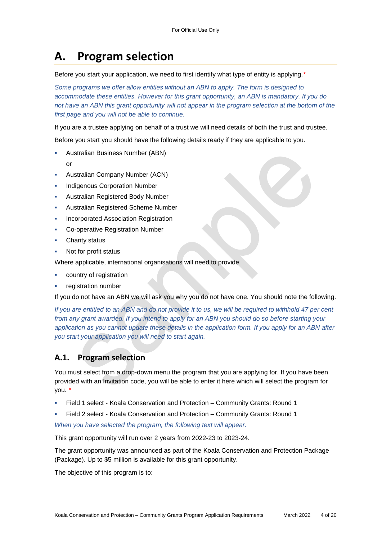# **A. Program selection**

Before you start your application, we need to first identify what type of entity is applying.*\**

*Some programs we offer allow entities without an ABN to apply. The form is designed to accommodate these entities. However for this grant opportunity, an ABN is mandatory. If you do*  not have an ABN this grant opportunity will not appear in the program selection at the bottom of the *first page and you will not be able to continue.*

If you are a trustee applying on behalf of a trust we will need details of both the trust and trustee.

Before you start you should have the following details ready if they are applicable to you.

- Australian Business Number (ABN)
	- or
- Australian Company Number (ACN)
- Indigenous Corporation Number
- Australian Registered Body Number
- Australian Registered Scheme Number
- Incorporated Association Registration
- Co-operative Registration Number
- Charity status
- Not for profit status

Where applicable, international organisations will need to provide

- country of registration
- registration number

If you do not have an ABN we will ask you why you do not have one. You should note the following.

*If you are entitled to an ABN and do not provide it to us, we will be required to withhold 47 per cent from any grant awarded. If you intend to apply for an ABN you should do so before starting your application as you cannot update these details in the application form. If you apply for an ABN after you start your application you will need to start again.*

### **A.1. Program selection**

You must select from a drop-down menu the program that you are applying for. If you have been provided with an Invitation code, you will be able to enter it here which will select the program for you. *\**

- Field 1 select Koala Conservation and Protection Community Grants: Round 1
- Field 2 select Koala Conservation and Protection Community Grants: Round 1

*When you have selected the program, the following text will appear.*

This grant opportunity will run over 2 years from 2022-23 to 2023-24.

The grant opportunity was announced as part of the Koala Conservation and Protection Package (Package). Up to \$5 million is available for this grant opportunity.

The objective of this program is to: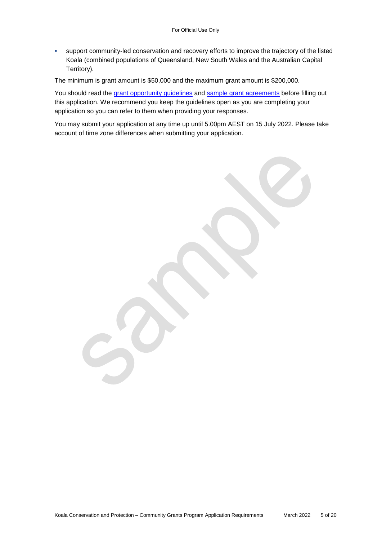support community-led conservation and recovery efforts to improve the trajectory of the listed Koala (combined populations of Queensland, New South Wales and the Australian Capital Territory).

The minimum is grant amount is \$50,000 and the maximum grant amount is \$200,000.

You should read the grant opportunity guidelines and sample grant agreements before filling out this application. We recommend you keep the guidelines open as you are completing your application so you can refer to them when providing your responses.

You may submit your application at any time up until 5.00pm AEST on 15 July 2022. Please take account of time zone differences when submitting your application.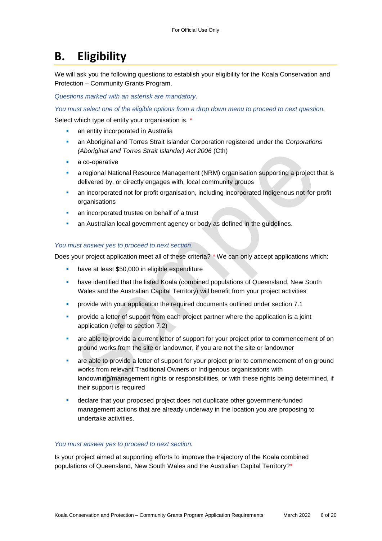## **B. Eligibility**

We will ask you the following questions to establish your eligibility for the Koala Conservation and Protection – Community Grants Program.

*Questions marked with an asterisk are mandatory.* 

*You must select one of the eligible options from a drop down menu to proceed to next question.*

Select which type of entity your organisation is. \*

- **an entity incorporated in Australia**
- an Aboriginal and Torres Strait Islander Corporation registered under the *Corporations (Aboriginal and Torres Strait Islander) Act 2006* (Cth)
- a co-operative
- a regional National Resource Management (NRM) organisation supporting a project that is delivered by, or directly engages with, local community groups
- an incorporated not for profit organisation, including incorporated Indigenous not-for-profit organisations
- an incorporated trustee on behalf of a trust
- an Australian local government agency or body as defined in the guidelines.

#### *You must answer yes to proceed to next section.*

Does your project application meet all of these criteria? *\** We can only accept applications which:

- have at least \$50,000 in eligible expenditure
- **•** have identified that the listed Koala (combined populations of Queensland, New South Wales and the Australian Capital Territory) will benefit from your project activities
- **•** provide with your application the required documents outlined under section 7.1
- **•** provide a letter of support from each project partner where the application is a joint application (refer to section 7.2)
- are able to provide a current letter of support for your project prior to commencement of on ground works from the site or landowner, if you are not the site or landowner
- are able to provide a letter of support for your project prior to commencement of on ground works from relevant Traditional Owners or Indigenous organisations with landowning/management rights or responsibilities, or with these rights being determined, if their support is required
- declare that your proposed project does not duplicate other government-funded management actions that are already underway in the location you are proposing to undertake activities.

#### *You must answer yes to proceed to next section.*

Is your project aimed at supporting efforts to improve the trajectory of the Koala combined populations of Queensland, New South Wales and the Australian Capital Territory?\*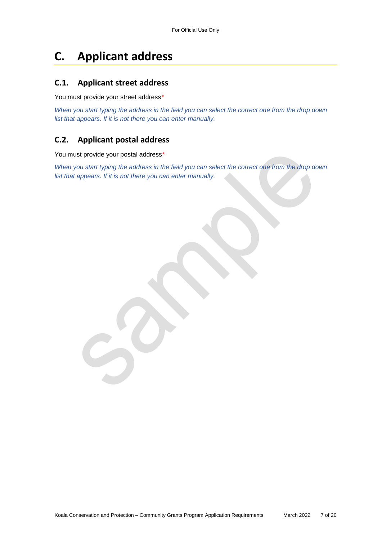# **C. Applicant address**

### **C.1. Applicant street address**

You must provide your street address*\**

*When you start typing the address in the field you can select the correct one from the drop down list that appears. If it is not there you can enter manually.*

### **C.2. Applicant postal address**

You must provide your postal address*\**

*When you start typing the address in the field you can select the correct one from the drop down list that appears. If it is not there you can enter manually.*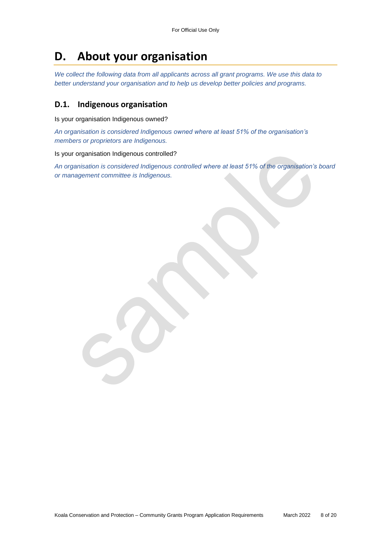## **D. About your organisation**

*We collect the following data from all applicants across all grant programs. We use this data to better understand your organisation and to help us develop better policies and programs.*

### **D.1. Indigenous organisation**

Is your organisation Indigenous owned?

*An organisation is considered Indigenous owned where at least 51% of the organisation's members or proprietors are Indigenous.*

Is your organisation Indigenous controlled?

*An organisation is considered Indigenous controlled where at least 51% of the organisation's board or management committee is Indigenous.*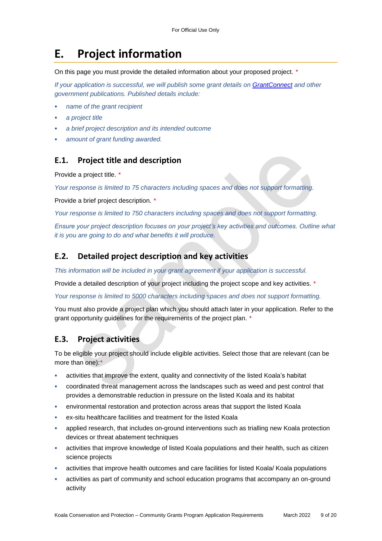## **E. Project information**

On this page you must provide the detailed information about your proposed project. *\**

*If your application is successful, we will publish some grant details on [GrantConnect](https://www.grants.gov.au/) and other government publications. Published details include:*

- *name of the grant recipient*
- *a project title*
- *a brief project description and its intended outcome*
- *amount of grant funding awarded.*

### **E.1. Project title and description**

Provide a project title. *\**

*Your response is limited to 75 characters including spaces and does not support formatting.* 

Provide a brief project description. *\**

*Your response is limited to 750 characters including spaces and does not support formatting.* 

*Ensure your project description focuses on your project's key activities and outcomes. Outline what it is you are going to do and what benefits it will produce.*

#### **E.2. Detailed project description and key activities**

*This information will be included in your grant agreement if your application is successful.*

Provide a detailed description of your project including the project scope and key activities. *\**

*Your response is limited to 5000 characters including spaces and does not support formatting.* 

You must also provide a project plan which you should attach later in your application. Refer to the grant opportunity guidelines for the requirements of the project plan. *\**

### **E.3. Project activities**

To be eligible your project should include eligible activities. Select those that are relevant (can be more than one):*\**

- activities that improve the extent, quality and connectivity of the listed Koala's habitat
- coordinated threat management across the landscapes such as weed and pest control that provides a demonstrable reduction in pressure on the listed Koala and its habitat
- environmental restoration and protection across areas that support the listed Koala
- ex-situ healthcare facilities and treatment for the listed Koala
- applied research, that includes on-ground interventions such as trialling new Koala protection devices or threat abatement techniques
- activities that improve knowledge of listed Koala populations and their health, such as citizen science projects
- activities that improve health outcomes and care facilities for listed Koala/ Koala populations
- activities as part of community and school education programs that accompany an on-ground activity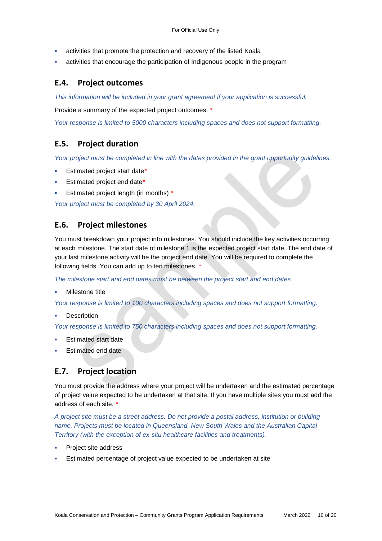- activities that promote the protection and recovery of the listed Koala
- activities that encourage the participation of Indigenous people in the program

### **E.4. Project outcomes**

*This information will be included in your grant agreement if your application is successful.*

Provide a summary of the expected project outcomes. *\**

*Your response is limited to 5000 characters including spaces and does not support formatting.*

### **E.5. Project duration**

*Your project must be completed in line with the dates provided in the grant opportunity guidelines.*

- Estimated project start date*\**
- Estimated project end date*\**
- Estimated project length (in months) *\**

*Your project must be completed by 30 April 2024.*

### **E.6. Project milestones**

You must breakdown your project into milestones. You should include the key activities occurring at each milestone. The start date of milestone 1 is the expected project start date. The end date of your last milestone activity will be the project end date. You will be required to complete the following fields. You can add up to ten milestones. *\**

*The milestone start and end dates must be between the project start and end dates.* 

Milestone title

*Your response is limited to 100 characters including spaces and does not support formatting.*

**Description** 

*Your response is limited to 750 characters including spaces and does not support formatting.*

- Estimated start date
- Estimated end date

### **E.7. Project location**

You must provide the address where your project will be undertaken and the estimated percentage of project value expected to be undertaken at that site. If you have multiple sites you must add the address of each site. *\**

*A project site must be a street address. Do not provide a postal address, institution or building*  name. Projects must be located in Queensland, New South Wales and the Australian Capital *Territory (with the exception of ex-situ healthcare facilities and treatments).* 

- Project site address
- Estimated percentage of project value expected to be undertaken at site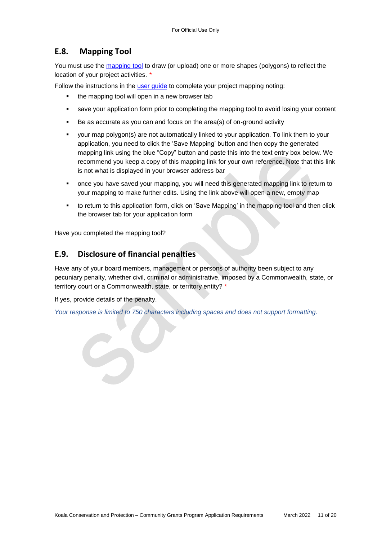### **E.8. Mapping Tool**

You must use the [mapping tool](https://www.environment.gov.au/apps/erin/grant_mapper/grant_mapper.html?formCode=TSSAPPS&mapTitle=Threatened%20Species%20Strategy%20Action%20Plan%20-%20Priority%20Species&disableDesc=Y&helpDoc=help/mapping_tool_quick_start_copy.pdf&disableDesc=Y&disableList=Y&displayMapUrl=Y&layers=ags%7CProtected%20Areas-Terrestrial%7Chttps://www.environment.gov.au/mapping/rest/services/ogc_services/capad/MapServer%7Coff%7Con,ags%7CProtected%20Areas-Marine%7Chttps://www.environment.gov.au/mapping/rest/services/ogc_services/CAPAD_MARINE/MapServer%7Coff%7Con,ags%7CNVIS%20Major%20Vegetation%20Groups%7Chttps://www.environment.gov.au/mapping/rest/services/ogc_services/NVIS_ext_mvg/MapServer%7Coff%7Con) to draw (or upload) one or more shapes (polygons) to reflect the location of your project activities. *\**

Follow the instructions in the user guide to complete your project mapping noting:

- the mapping tool will open in a new browser tab
- save your application form prior to completing the mapping tool to avoid losing your content
- Be as accurate as you can and focus on the area(s) of on-ground activity
- your map polygon(s) are not automatically linked to your application. To link them to your application, you need to click the 'Save Mapping' button and then copy the generated mapping link using the blue "Copy" button and paste this into the text entry box below. We recommend you keep a copy of this mapping link for your own reference. Note that this link is not what is displayed in your browser address bar
- once you have saved your mapping, you will need this generated mapping link to return to your mapping to make further edits. Using the link above will open a new, empty map
- to return to this application form, click on 'Save Mapping' in the mapping tool and then click the browser tab for your application form

Have you completed the mapping tool?

### **E.9. Disclosure of financial penalties**

Have any of your board members, management or persons of authority been subject to any pecuniary penalty, whether civil, criminal or administrative, imposed by a Commonwealth, state, or territory court or a Commonwealth, state, or territory entity? *\**

If yes, provide details of the penalty.

*Your response is limited to 750 characters including spaces and does not support formatting.*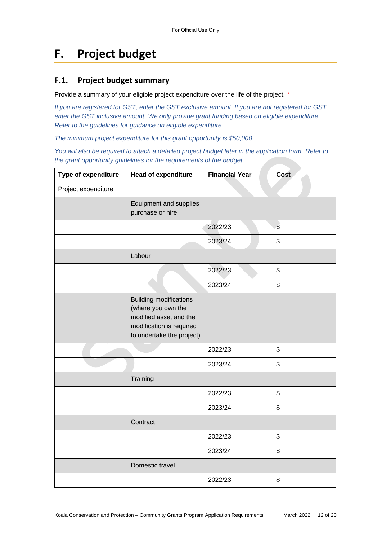# **F. Project budget**

### **F.1. Project budget summary**

Provide a summary of your eligible project expenditure over the life of the project. *\**

*If you are registered for GST, enter the GST exclusive amount. If you are not registered for GST, enter the GST inclusive amount. We only provide grant funding based on eligible expenditure. Refer to the guidelines for guidance on eligible expenditure.*

*The minimum project expenditure for this grant opportunity is \$50,000*

*You will also be required to attach a detailed project budget later in the application form. Refer to the grant opportunity guidelines for the requirements of the budget.*

| Type of expenditure | <b>Head of expenditure</b>                                                                                                             | <b>Financial Year</b> | <b>Cost</b>               |
|---------------------|----------------------------------------------------------------------------------------------------------------------------------------|-----------------------|---------------------------|
| Project expenditure |                                                                                                                                        |                       |                           |
|                     | Equipment and supplies<br>purchase or hire                                                                                             |                       |                           |
|                     |                                                                                                                                        | 2022/23               | $\sqrt{2}$                |
|                     |                                                                                                                                        | 2023/24               | \$                        |
|                     | Labour                                                                                                                                 |                       |                           |
|                     |                                                                                                                                        | 2022/23               | $\boldsymbol{\mathsf{S}}$ |
|                     |                                                                                                                                        | 2023/24               | \$                        |
|                     | <b>Building modifications</b><br>(where you own the<br>modified asset and the<br>modification is required<br>to undertake the project) |                       |                           |
|                     |                                                                                                                                        | 2022/23               | \$                        |
|                     |                                                                                                                                        | 2023/24               | \$                        |
|                     | Training                                                                                                                               |                       |                           |
|                     |                                                                                                                                        | 2022/23               | \$                        |
|                     |                                                                                                                                        | 2023/24               | \$                        |
|                     | Contract                                                                                                                               |                       |                           |
|                     |                                                                                                                                        | 2022/23               | \$                        |
|                     |                                                                                                                                        | 2023/24               | \$                        |
|                     | Domestic travel                                                                                                                        |                       |                           |
|                     |                                                                                                                                        | 2022/23               | \$                        |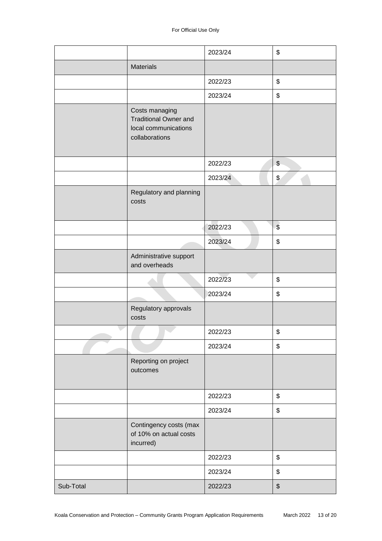|           |                                                                                          | 2023/24 | \$                      |
|-----------|------------------------------------------------------------------------------------------|---------|-------------------------|
|           | <b>Materials</b>                                                                         |         |                         |
|           |                                                                                          | 2022/23 | \$                      |
|           |                                                                                          | 2023/24 | \$                      |
|           | Costs managing<br><b>Traditional Owner and</b><br>local communications<br>collaborations |         |                         |
|           |                                                                                          | 2022/23 | $\frac{1}{2}$           |
|           |                                                                                          | 2023/24 | \$                      |
|           | Regulatory and planning<br>costs                                                         |         |                         |
|           |                                                                                          | 2022/23 | $\sqrt[6]{\frac{1}{2}}$ |
|           |                                                                                          | 2023/24 | \$                      |
|           | Administrative support<br>and overheads                                                  |         |                         |
|           |                                                                                          | 2022/23 | \$                      |
|           |                                                                                          | 2023/24 | \$                      |
|           | Regulatory approvals<br>costs                                                            |         |                         |
|           |                                                                                          | 2022/23 | \$                      |
|           |                                                                                          | 2023/24 | \$                      |
|           | Reporting on project<br>outcomes                                                         |         |                         |
|           |                                                                                          | 2022/23 | \$                      |
|           |                                                                                          | 2023/24 | \$                      |
|           | Contingency costs (max<br>of 10% on actual costs<br>incurred)                            |         |                         |
|           |                                                                                          | 2022/23 | \$                      |
|           |                                                                                          | 2023/24 | \$                      |
| Sub-Total |                                                                                          | 2022/23 | \$                      |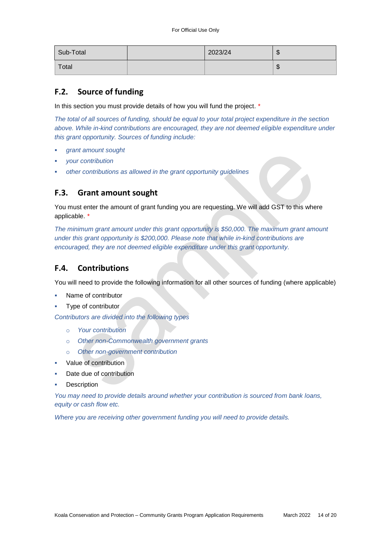| Sub-Total | 2023/24 | $\sqrt{ }$<br>w    |
|-----------|---------|--------------------|
| Total     |         | $\sqrt{2}$<br>- JJ |

### **F.2. Source of funding**

In this section you must provide details of how you will fund the project. *\**

*The total of all sources of funding, should be equal to your total project expenditure in the section above. While in-kind contributions are encouraged, they are not deemed eligible expenditure under this grant opportunity. Sources of funding include:*

- *grant amount sought*
- *your contribution*
- *other contributions as allowed in the grant opportunity guidelines*

### **F.3. Grant amount sought**

You must enter the amount of grant funding you are requesting. We will add GST to this where applicable. *\**

*The minimum grant amount under this grant opportunity is \$50,000. The maximum grant amount under this grant opportunity is \$200,000. Please note that while in-kind contributions are encouraged, they are not deemed eligible expenditure under this grant opportunity.*

### **F.4. Contributions**

You will need to provide the following information for all other sources of funding (where applicable)

- Name of contributor
- Type of contributor

*Contributors are divided into the following types*

- o *Your contribution*
- o *Other non-Commonwealth government grants*
- o *Other non-government contribution*
- Value of contribution
- Date due of contribution
- **Description**

*You may need to provide details around whether your contribution is sourced from bank loans, equity or cash flow etc.* 

*Where you are receiving other government funding you will need to provide details.*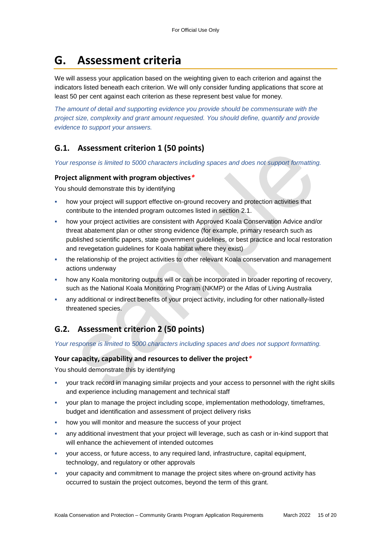## **G. Assessment criteria**

We will assess your application based on the weighting given to each criterion and against the indicators listed beneath each criterion. We will only consider funding applications that score at least 50 per cent against each criterion as these represent best value for money.

*The amount of detail and supporting evidence you provide should be commensurate with the project size, complexity and grant amount requested. You should define, quantify and provide evidence to support your answers.*

### **G.1. Assessment criterion 1 (50 points)**

*Your response is limited to 5000 characters including spaces and does not support formatting.* 

#### **Project alignment with program objectives***\**

You should demonstrate this by identifying

- how your project will support effective on-ground recovery and protection activities that contribute to the intended program outcomes listed in section 2.1.
- how your project activities are consistent with Approved Koala Conservation Advice and/or threat abatement plan or other strong evidence (for example, primary research such as published scientific papers, state government guidelines, or best practice and local restoration and revegetation guidelines for Koala habitat where they exist)
- the relationship of the project activities to other relevant Koala conservation and management actions underway
- how any Koala monitoring outputs will or can be incorporated in broader reporting of recovery, such as the National Koala Monitoring Program (NKMP) or the Atlas of Living Australia
- any additional or indirect benefits of your project activity, including for other nationally-listed threatened species.

### **G.2. Assessment criterion 2 (50 points)**

*Your response is limited to 5000 characters including spaces and does not support formatting.* 

#### **Your capacity, capability and resources to deliver the project***\**

You should demonstrate this by identifying

- your track record in managing similar projects and your access to personnel with the right skills and experience including management and technical staff
- your plan to manage the project including scope, implementation methodology, timeframes, budget and identification and assessment of project delivery risks
- how you will monitor and measure the success of your project
- any additional investment that your project will leverage, such as cash or in-kind support that will enhance the achievement of intended outcomes
- your access, or future access, to any required land, infrastructure, capital equipment, technology, and regulatory or other approvals
- your capacity and commitment to manage the project sites where on-ground activity has occurred to sustain the project outcomes, beyond the term of this grant.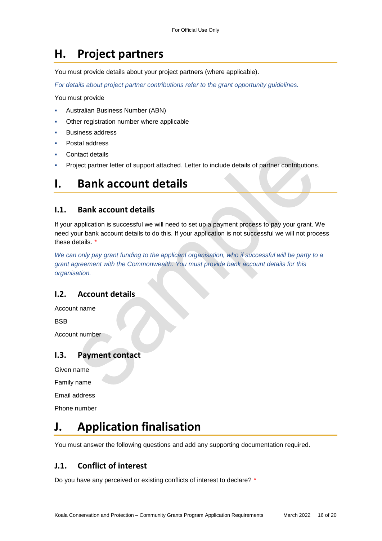# **H. Project partners**

You must provide details about your project partners (where applicable).

*For details about project partner contributions refer to the grant opportunity guidelines.*

You must provide

- Australian Business Number (ABN)
- Other registration number where applicable
- Business address
- Postal address
- Contact details
- Project partner letter of support attached. Letter to include details of partner contributions.

### **I. Bank account details**

### **I.1. Bank account details**

If your application is successful we will need to set up a payment process to pay your grant. We need your bank account details to do this. If your application is not successful we will not process these details. *\**

*We can only pay grant funding to the applicant organisation, who if successful will be party to a grant agreement with the Commonwealth. You must provide bank account details for this organisation.*

### **I.2. Account details**

Account name

**BSB** 

Account number

### **I.3. Payment contact**

Given name

Family name

Email address

Phone number

# **J. Application finalisation**

You must answer the following questions and add any supporting documentation required.

### **J.1. Conflict of interest**

Do you have any perceived or existing conflicts of interest to declare? *\**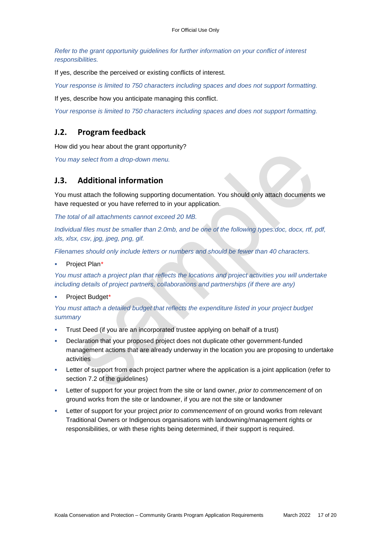*Refer to the grant opportunity guidelines for further information on your conflict of interest responsibilities.*

If yes, describe the perceived or existing conflicts of interest.

*Your response is limited to 750 characters including spaces and does not support formatting.*

If yes, describe how you anticipate managing this conflict.

*Your response is limited to 750 characters including spaces and does not support formatting.*

### **J.2. Program feedback**

How did you hear about the grant opportunity?

*You may select from a drop-down menu.* 

### **J.3. Additional information**

You must attach the following supporting documentation. You should only attach documents we have requested or you have referred to in your application.

*The total of all attachments cannot exceed 20 MB.* 

*Individual files must be smaller than 2.0mb, and be one of the following types:doc, docx, rtf, pdf, xls, xlsx, csv, jpg, jpeg, png, gif.*

*Filenames should only include letters or numbers and should be fewer than 40 characters.* 

Project Plan*\**

*You must attach a project plan that reflects the locations and project activities you will undertake including details of project partners, collaborations and partnerships (if there are any)* 

#### Project Budget*\**

*You must attach a detailed budget that reflects the expenditure listed in your project budget summary*

- Trust Deed (if you are an incorporated trustee applying on behalf of a trust)
- Declaration that your proposed project does not duplicate other government-funded management actions that are already underway in the location you are proposing to undertake activities
- Letter of support from each project partner where the application is a joint application (refer to section 7.2 of the guidelines)
- Letter of support for your project from the site or land owner, *prior to commencement* of on ground works from the site or landowner, if you are not the site or landowner
- Letter of support for your project *prior to commencement* of on ground works from relevant Traditional Owners or Indigenous organisations with landowning/management rights or responsibilities, or with these rights being determined, if their support is required.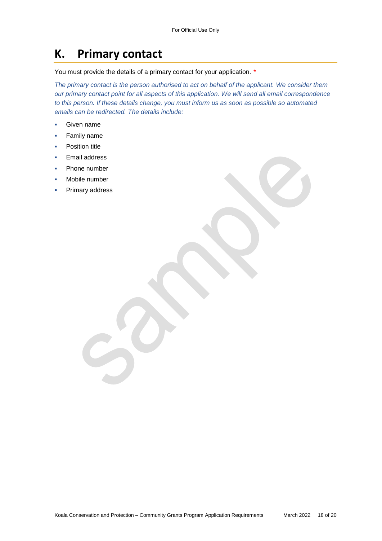## **K. Primary contact**

You must provide the details of a primary contact for your application. *\**

*The primary contact is the person authorised to act on behalf of the applicant. We consider them our primary contact point for all aspects of this application. We will send all email correspondence to this person. If these details change, you must inform us as soon as possible so automated emails can be redirected. The details include:*

- Given name
- **Family name**
- Position title
- Email address
- Phone number
- Mobile number
- Primary address

Koala Conservation and Protection – Community Grants Program Application Requirements March 2022 18 of 20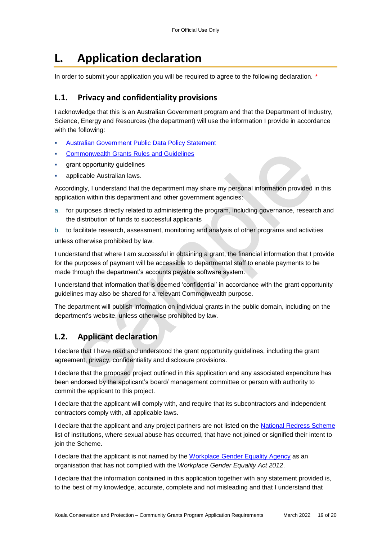# **L. Application declaration**

In order to submit your application you will be required to agree to the following declaration. *\**

### **L.1. Privacy and confidentiality provisions**

I acknowledge that this is an Australian Government program and that the Department of Industry, Science, Energy and Resources (the department) will use the information I provide in accordance with the following:

- [Australian Government Public Data Policy Statement](https://www.pmc.gov.au/sites/default/files/publications/aust_govt_public_data_policy_statement_1.pdf)
- [Commonwealth Grants Rules and Guidelines](https://www.finance.gov.au/government/commonwealth-grants/commonwealth-grants-rules-guidelines)
- grant opportunity guidelines
- applicable Australian laws.

Accordingly, I understand that the department may share my personal information provided in this application within this department and other government agencies:

a. for purposes directly related to administering the program, including governance, research and the distribution of funds to successful applicants

b. to facilitate research, assessment, monitoring and analysis of other programs and activities unless otherwise prohibited by law.

I understand that where I am successful in obtaining a grant, the financial information that I provide for the purposes of payment will be accessible to departmental staff to enable payments to be made through the department's accounts payable software system.

I understand that information that is deemed 'confidential' in accordance with the grant opportunity guidelines may also be shared for a relevant Commonwealth purpose.

The department will publish information on individual grants in the public domain, including on the department's website, unless otherwise prohibited by law.

### **L.2. Applicant declaration**

I declare that I have read and understood the grant opportunity guidelines, including the grant agreement, privacy, confidentiality and disclosure provisions.

I declare that the proposed project outlined in this application and any associated expenditure has been endorsed by the applicant's board/ management committee or person with authority to commit the applicant to this project.

I declare that the applicant will comply with, and require that its subcontractors and independent contractors comply with, all applicable laws.

I declare that the applicant and any project partners are not listed on the [National Redress Scheme](https://www.nationalredress.gov.au/institutions/institutions-have-not-yet-joined) list of institutions, where sexual abuse has occurred, that have not joined or signified their intent to join the Scheme.

I declare that the applicant is not named by the [Workplace Gender Equality Agency](https://www.wgea.gov.au/what-we-do/compliance-reporting/non-compliant-list) as an organisation that has not complied with the *Workplace Gender Equality Act 2012*.

I declare that the information contained in this application together with any statement provided is, to the best of my knowledge, accurate, complete and not misleading and that I understand that